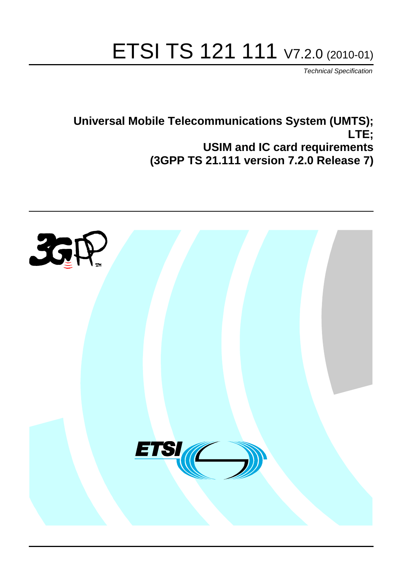# ETSI TS 121 111 V7.2.0 (2010-01)

*Technical Specification*

## **Universal Mobile Telecommunications System (UMTS); LTE; USIM and IC card requirements (3GPP TS 21.111 version 7.2.0 Release 7)**

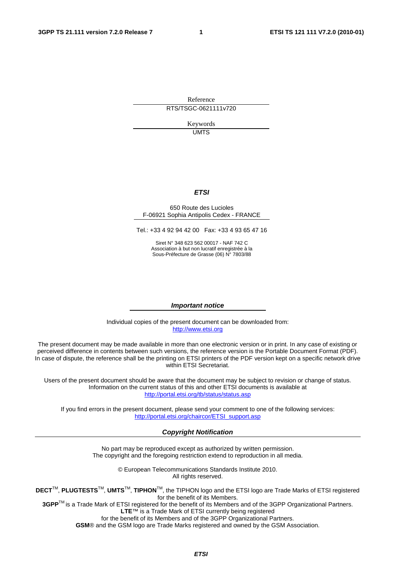Reference RTS/TSGC-0621111v720

Keywords

UMTS

#### *ETSI*

#### 650 Route des Lucioles F-06921 Sophia Antipolis Cedex - FRANCE

Tel.: +33 4 92 94 42 00 Fax: +33 4 93 65 47 16

Siret N° 348 623 562 00017 - NAF 742 C Association à but non lucratif enregistrée à la Sous-Préfecture de Grasse (06) N° 7803/88

#### *Important notice*

Individual copies of the present document can be downloaded from: [http://www.etsi.org](http://www.etsi.org/)

The present document may be made available in more than one electronic version or in print. In any case of existing or perceived difference in contents between such versions, the reference version is the Portable Document Format (PDF). In case of dispute, the reference shall be the printing on ETSI printers of the PDF version kept on a specific network drive within ETSI Secretariat.

Users of the present document should be aware that the document may be subject to revision or change of status. Information on the current status of this and other ETSI documents is available at <http://portal.etsi.org/tb/status/status.asp>

If you find errors in the present document, please send your comment to one of the following services: [http://portal.etsi.org/chaircor/ETSI\\_support.asp](http://portal.etsi.org/chaircor/ETSI_support.asp)

#### *Copyright Notification*

No part may be reproduced except as authorized by written permission. The copyright and the foregoing restriction extend to reproduction in all media.

> © European Telecommunications Standards Institute 2010. All rights reserved.

**DECT**TM, **PLUGTESTS**TM, **UMTS**TM, **TIPHON**TM, the TIPHON logo and the ETSI logo are Trade Marks of ETSI registered for the benefit of its Members.

**3GPP**TM is a Trade Mark of ETSI registered for the benefit of its Members and of the 3GPP Organizational Partners. **LTE**™ is a Trade Mark of ETSI currently being registered

for the benefit of its Members and of the 3GPP Organizational Partners.

**GSM**® and the GSM logo are Trade Marks registered and owned by the GSM Association.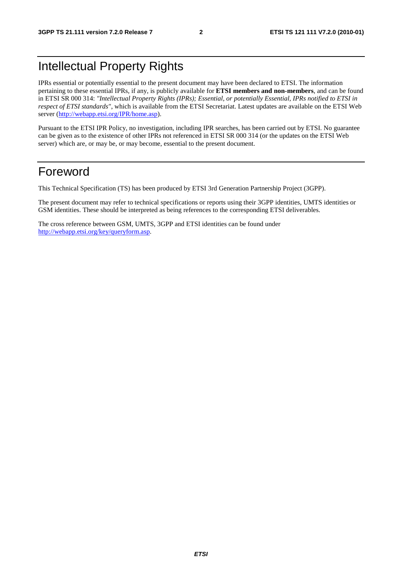## Intellectual Property Rights

IPRs essential or potentially essential to the present document may have been declared to ETSI. The information pertaining to these essential IPRs, if any, is publicly available for **ETSI members and non-members**, and can be found in ETSI SR 000 314: *"Intellectual Property Rights (IPRs); Essential, or potentially Essential, IPRs notified to ETSI in respect of ETSI standards"*, which is available from the ETSI Secretariat. Latest updates are available on the ETSI Web server ([http://webapp.etsi.org/IPR/home.asp\)](http://webapp.etsi.org/IPR/home.asp).

Pursuant to the ETSI IPR Policy, no investigation, including IPR searches, has been carried out by ETSI. No guarantee can be given as to the existence of other IPRs not referenced in ETSI SR 000 314 (or the updates on the ETSI Web server) which are, or may be, or may become, essential to the present document.

#### Foreword

This Technical Specification (TS) has been produced by ETSI 3rd Generation Partnership Project (3GPP).

The present document may refer to technical specifications or reports using their 3GPP identities, UMTS identities or GSM identities. These should be interpreted as being references to the corresponding ETSI deliverables.

The cross reference between GSM, UMTS, 3GPP and ETSI identities can be found under [http://webapp.etsi.org/key/queryform.asp.](http://webapp.etsi.org/key/queryform.asp)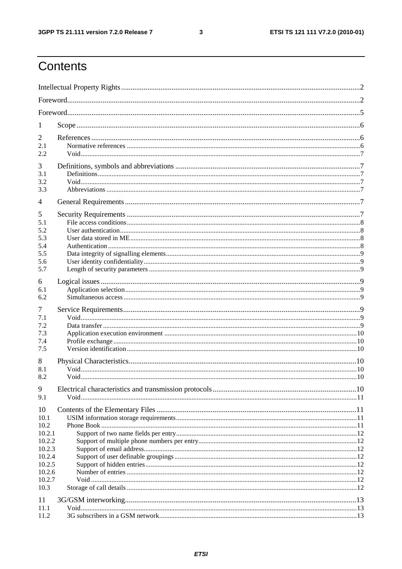$\mathbf{3}$ 

## Contents

| 1                                                  |  |  |
|----------------------------------------------------|--|--|
| 2<br>2.1<br>2.2                                    |  |  |
| 3<br>3.1<br>3.2<br>3.3                             |  |  |
| $\overline{4}$                                     |  |  |
| 5<br>5.1<br>5.2<br>5.3<br>5.4<br>5.5<br>5.6<br>5.7 |  |  |
| 6<br>6.1<br>6.2                                    |  |  |
| 7<br>7.1<br>7.2<br>7.3<br>7.4<br>7.5               |  |  |
| 8<br>8.1<br>8.2                                    |  |  |
| 9<br>9.1                                           |  |  |
| 10<br>10.1<br>10.2<br>10.2.1<br>10.2.2<br>10.2.3   |  |  |
| 10.2.4<br>10.2.5<br>10.2.6<br>10.2.7<br>10.3       |  |  |
| 11<br>11.1<br>11.2                                 |  |  |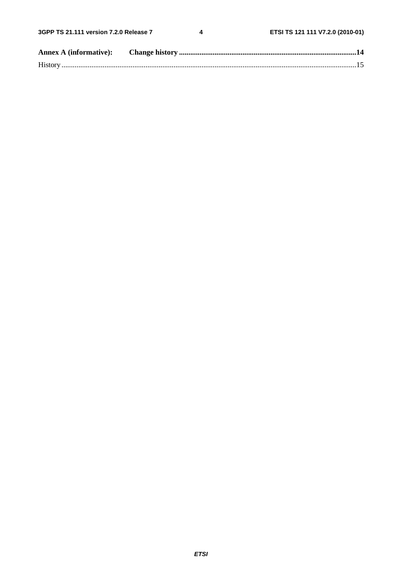$\overline{\mathbf{4}}$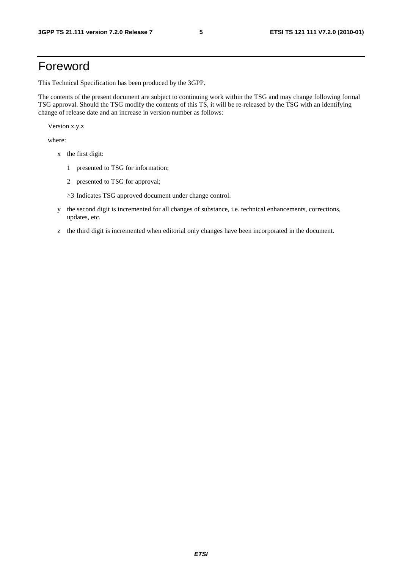### Foreword

This Technical Specification has been produced by the 3GPP.

The contents of the present document are subject to continuing work within the TSG and may change following formal TSG approval. Should the TSG modify the contents of this TS, it will be re-released by the TSG with an identifying change of release date and an increase in version number as follows:

Version x.y.z

where:

- x the first digit:
	- 1 presented to TSG for information;
	- 2 presented to TSG for approval;
	- <sup>≥</sup>3 Indicates TSG approved document under change control.
- y the second digit is incremented for all changes of substance, i.e. technical enhancements, corrections, updates, etc.
- z the third digit is incremented when editorial only changes have been incorporated in the document.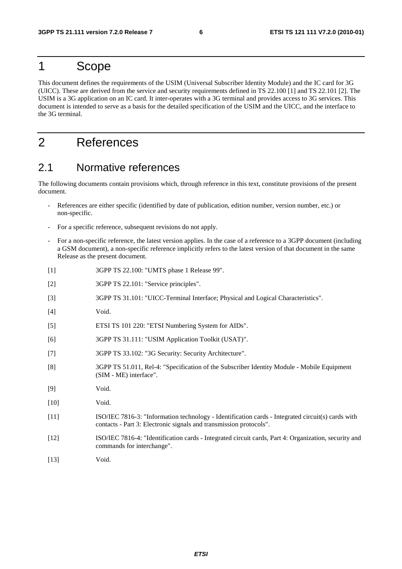#### 1 Scope

This document defines the requirements of the USIM (Universal Subscriber Identity Module) and the IC card for 3G (UICC). These are derived from the service and security requirements defined in TS 22.100 [1] and TS 22.101 [2]. The USIM is a 3G application on an IC card. It inter-operates with a 3G terminal and provides access to 3G services. This document is intended to serve as a basis for the detailed specification of the USIM and the UICC, and the interface to the 3G terminal.

### 2 References

#### 2.1 Normative references

The following documents contain provisions which, through reference in this text, constitute provisions of the present document.

- References are either specific (identified by date of publication, edition number, version number, etc.) or non-specific.
- For a specific reference, subsequent revisions do not apply.
- For a non-specific reference, the latest version applies. In the case of a reference to a 3GPP document (including a GSM document), a non-specific reference implicitly refers to the latest version of that document in the same Release as the present document.
- [1] 3GPP TS 22.100: "UMTS phase 1 Release 99".
- [2] 3GPP TS 22.101: "Service principles".
- [3] 3GPP TS 31.101: "UICC-Terminal Interface; Physical and Logical Characteristics".
- [4] Void.
- [5] ETSI TS 101 220: "ETSI Numbering System for AIDs".
- [6] 3GPP TS 31.111: "USIM Application Toolkit (USAT)".
- [7] 3GPP TS 33.102: "3G Security: Security Architecture".
- [8] 3GPP TS 51.011, Rel-4: "Specification of the Subscriber Identity Module Mobile Equipment (SIM - ME) interface".
- [9] Void.
- [10] **Void.**
- [11] ISO/IEC 7816-3: "Information technology Identification cards Integrated circuit(s) cards with contacts - Part 3: Electronic signals and transmission protocols".
- [12] ISO/IEC 7816-4: "Identification cards Integrated circuit cards, Part 4: Organization, security and commands for interchange".
- [13] **Void.**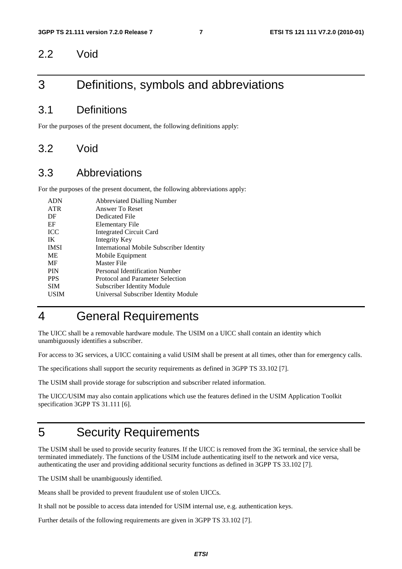#### 2.2 Void

#### 3 Definitions, symbols and abbreviations

#### 3.1 Definitions

For the purposes of the present document, the following definitions apply:

#### 3.2 Void

#### 3.3 Abbreviations

For the purposes of the present document, the following abbreviations apply:

| <b>ADN</b>  | <b>Abbreviated Dialling Number</b>       |
|-------------|------------------------------------------|
| <b>ATR</b>  | Answer To Reset                          |
| DF          | Dedicated File                           |
| EF          | <b>Elementary File</b>                   |
| <b>ICC</b>  | <b>Integrated Circuit Card</b>           |
| IK          | Integrity Key                            |
| <b>IMSI</b> | International Mobile Subscriber Identity |
| ME          | Mobile Equipment                         |
| MF          | Master File                              |
| <b>PIN</b>  | Personal Identification Number           |
| <b>PPS</b>  | Protocol and Parameter Selection         |
| <b>SIM</b>  | Subscriber Identity Module               |
| USIM        | Universal Subscriber Identity Module     |
|             |                                          |

### 4 General Requirements

The UICC shall be a removable hardware module. The USIM on a UICC shall contain an identity which unambiguously identifies a subscriber.

For access to 3G services, a UICC containing a valid USIM shall be present at all times, other than for emergency calls.

The specifications shall support the security requirements as defined in 3GPP TS 33.102 [7].

The USIM shall provide storage for subscription and subscriber related information.

The UICC/USIM may also contain applications which use the features defined in the USIM Application Toolkit specification 3GPP TS 31.111 [6].

## 5 Security Requirements

The USIM shall be used to provide security features. If the UICC is removed from the 3G terminal, the service shall be terminated immediately. The functions of the USIM include authenticating itself to the network and vice versa, authenticating the user and providing additional security functions as defined in 3GPP TS 33.102 [7].

The USIM shall be unambiguously identified.

Means shall be provided to prevent fraudulent use of stolen UICCs.

It shall not be possible to access data intended for USIM internal use, e.g. authentication keys.

Further details of the following requirements are given in 3GPP TS 33.102 [7].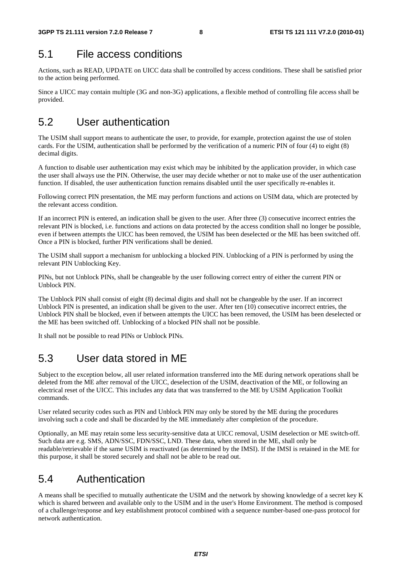#### 5.1 File access conditions

Actions, such as READ, UPDATE on UICC data shall be controlled by access conditions. These shall be satisfied prior to the action being performed.

Since a UICC may contain multiple (3G and non-3G) applications, a flexible method of controlling file access shall be provided.

### 5.2 User authentication

The USIM shall support means to authenticate the user, to provide, for example, protection against the use of stolen cards. For the USIM, authentication shall be performed by the verification of a numeric PIN of four (4) to eight (8) decimal digits.

A function to disable user authentication may exist which may be inhibited by the application provider, in which case the user shall always use the PIN. Otherwise, the user may decide whether or not to make use of the user authentication function. If disabled, the user authentication function remains disabled until the user specifically re-enables it.

Following correct PIN presentation, the ME may perform functions and actions on USIM data, which are protected by the relevant access condition.

If an incorrect PIN is entered, an indication shall be given to the user. After three (3) consecutive incorrect entries the relevant PIN is blocked, i.e. functions and actions on data protected by the access condition shall no longer be possible, even if between attempts the UICC has been removed, the USIM has been deselected or the ME has been switched off. Once a PIN is blocked, further PIN verifications shall be denied.

The USIM shall support a mechanism for unblocking a blocked PIN. Unblocking of a PIN is performed by using the relevant PIN Unblocking Key.

PINs, but not Unblock PINs, shall be changeable by the user following correct entry of either the current PIN or Unblock PIN.

The Unblock PIN shall consist of eight (8) decimal digits and shall not be changeable by the user. If an incorrect Unblock PIN is presented, an indication shall be given to the user. After ten (10) consecutive incorrect entries, the Unblock PIN shall be blocked, even if between attempts the UICC has been removed, the USIM has been deselected or the ME has been switched off. Unblocking of a blocked PIN shall not be possible.

It shall not be possible to read PINs or Unblock PINs.

## 5.3 User data stored in ME

Subject to the exception below, all user related information transferred into the ME during network operations shall be deleted from the ME after removal of the UICC, deselection of the USIM, deactivation of the ME, or following an electrical reset of the UICC. This includes any data that was transferred to the ME by USIM Application Toolkit commands.

User related security codes such as PIN and Unblock PIN may only be stored by the ME during the procedures involving such a code and shall be discarded by the ME immediately after completion of the procedure.

Optionally, an ME may retain some less security-sensitive data at UICC removal, USIM deselection or ME switch-off. Such data are e.g. SMS, ADN/SSC, FDN/SSC, LND. These data, when stored in the ME, shall only be readable/retrievable if the same USIM is reactivated (as determined by the IMSI). If the IMSI is retained in the ME for this purpose, it shall be stored securely and shall not be able to be read out.

### 5.4 Authentication

A means shall be specified to mutually authenticate the USIM and the network by showing knowledge of a secret key K which is shared between and available only to the USIM and in the user's Home Environment. The method is composed of a challenge/response and key establishment protocol combined with a sequence number-based one-pass protocol for network authentication.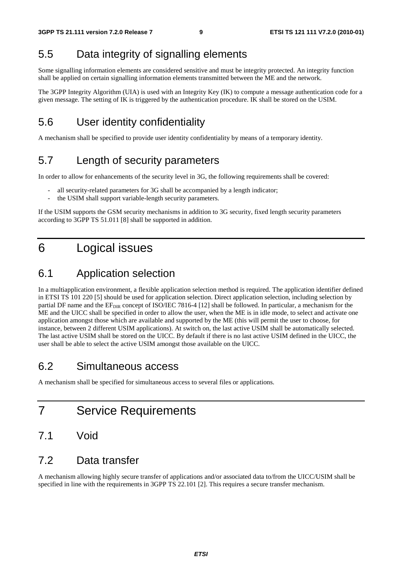## 5.5 Data integrity of signalling elements

Some signalling information elements are considered sensitive and must be integrity protected. An integrity function shall be applied on certain signalling information elements transmitted between the ME and the network.

The 3GPP Integrity Algorithm (UIA) is used with an Integrity Key (IK) to compute a message authentication code for a given message. The setting of IK is triggered by the authentication procedure. IK shall be stored on the USIM.

### 5.6 User identity confidentiality

A mechanism shall be specified to provide user identity confidentiality by means of a temporary identity.

## 5.7 Length of security parameters

In order to allow for enhancements of the security level in 3G, the following requirements shall be covered:

- all security-related parameters for 3G shall be accompanied by a length indicator;
- the USIM shall support variable-length security parameters.

If the USIM supports the GSM security mechanisms in addition to 3G security, fixed length security parameters according to 3GPP TS 51.011 [8] shall be supported in addition.

## 6 Logical issues

#### 6.1 Application selection

In a multiapplication environment, a flexible application selection method is required. The application identifier defined in ETSI TS 101 220 [5] should be used for application selection. Direct application selection, including selection by partial DF name and the EF<sub>DIR</sub> concept of ISO/IEC 7816-4 [12] shall be followed. In particular, a mechanism for the ME and the UICC shall be specified in order to allow the user, when the ME is in idle mode, to select and activate one application amongst those which are available and supported by the ME (this will permit the user to choose, for instance, between 2 different USIM applications). At switch on, the last active USIM shall be automatically selected. The last active USIM shall be stored on the UICC. By default if there is no last active USIM defined in the UICC, the user shall be able to select the active USIM amongst those available on the UICC.

#### 6.2 Simultaneous access

A mechanism shall be specified for simultaneous access to several files or applications.

- 7 Service Requirements
- 7.1 Void

#### 7.2 Data transfer

A mechanism allowing highly secure transfer of applications and/or associated data to/from the UICC/USIM shall be specified in line with the requirements in 3GPP TS 22.101 [2]. This requires a secure transfer mechanism.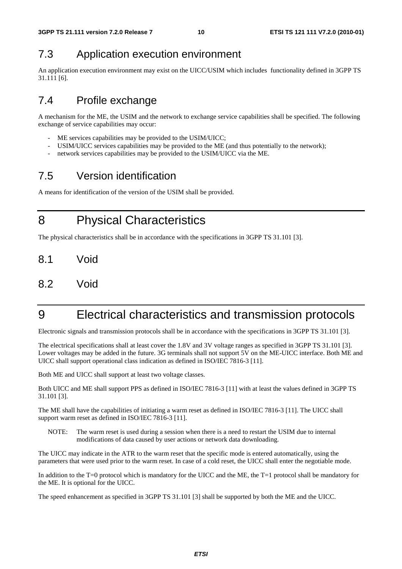### 7.3 Application execution environment

An application execution environment may exist on the UICC/USIM which includes functionality defined in 3GPP TS 31.111 [6].

### 7.4 Profile exchange

A mechanism for the ME, the USIM and the network to exchange service capabilities shall be specified. The following exchange of service capabilities may occur:

- ME services capabilities may be provided to the USIM/UICC;
- USIM/UICC services capabilities may be provided to the ME (and thus potentially to the network);
- network services capabilities may be provided to the USIM/UICC via the ME.

### 7.5 Version identification

A means for identification of the version of the USIM shall be provided.

8 Physical Characteristics

The physical characteristics shall be in accordance with the specifications in 3GPP TS 31.101 [3].

- 8.1 Void
- 8.2 Void

## 9 Electrical characteristics and transmission protocols

Electronic signals and transmission protocols shall be in accordance with the specifications in 3GPP TS 31.101 [3].

The electrical specifications shall at least cover the 1.8V and 3V voltage ranges as specified in 3GPP TS 31.101 [3]. Lower voltages may be added in the future. 3G terminals shall not support 5V on the ME-UICC interface. Both ME and UICC shall support operational class indication as defined in ISO/IEC 7816-3 [11].

Both ME and UICC shall support at least two voltage classes.

Both UICC and ME shall support PPS as defined in ISO/IEC 7816-3 [11] with at least the values defined in 3GPP TS 31.101 [3].

The ME shall have the capabilities of initiating a warm reset as defined in ISO/IEC 7816-3 [11]. The UICC shall support warm reset as defined in ISO/IEC 7816-3 [11].

NOTE: The warm reset is used during a session when there is a need to restart the USIM due to internal modifications of data caused by user actions or network data downloading.

The UICC may indicate in the ATR to the warm reset that the specific mode is entered automatically, using the parameters that were used prior to the warm reset. In case of a cold reset, the UICC shall enter the negotiable mode.

In addition to the T=0 protocol which is mandatory for the UICC and the ME, the T=1 protocol shall be mandatory for the ME. It is optional for the UICC.

The speed enhancement as specified in 3GPP TS 31.101 [3] shall be supported by both the ME and the UICC.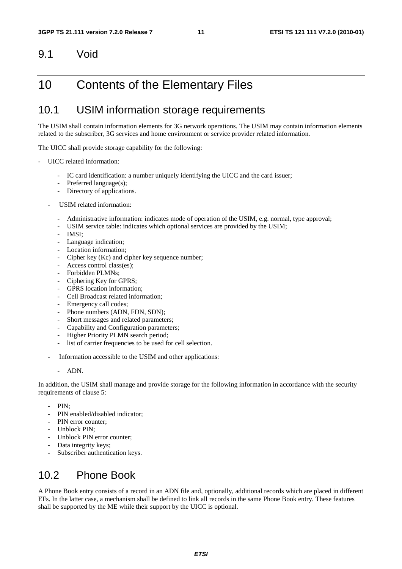#### 9.1 Void

### 10 Contents of the Elementary Files

#### 10.1 USIM information storage requirements

The USIM shall contain information elements for 3G network operations. The USIM may contain information elements related to the subscriber, 3G services and home environment or service provider related information.

The UICC shall provide storage capability for the following:

- UICC related information:
	- IC card identification: a number uniquely identifying the UICC and the card issuer;
	- Preferred language(s);
	- Directory of applications.
	- USIM related information:
		- Administrative information: indicates mode of operation of the USIM, e.g. normal, type approval;
		- USIM service table: indicates which optional services are provided by the USIM;
		- IMSI:
		- Language indication;
		- Location information:
		- Cipher key (Kc) and cipher key sequence number;
		- Access control class(es);
		- Forbidden PLMNs;
		- Ciphering Key for GPRS;
		- GPRS location information:
		- Cell Broadcast related information:
		- Emergency call codes;
		- Phone numbers (ADN, FDN, SDN);
		- Short messages and related parameters;
		- Capability and Configuration parameters;
		- Higher Priority PLMN search period;
		- list of carrier frequencies to be used for cell selection.
	- Information accessible to the USIM and other applications:
		- ADN.

In addition, the USIM shall manage and provide storage for the following information in accordance with the security requirements of clause 5:

- PIN:
- PIN enabled/disabled indicator;
- PIN error counter:
- Unblock PIN;
- Unblock PIN error counter;
- Data integrity keys;
- Subscriber authentication keys.

#### 10.2 Phone Book

A Phone Book entry consists of a record in an ADN file and, optionally, additional records which are placed in different EFs. In the latter case, a mechanism shall be defined to link all records in the same Phone Book entry. These features shall be supported by the ME while their support by the UICC is optional.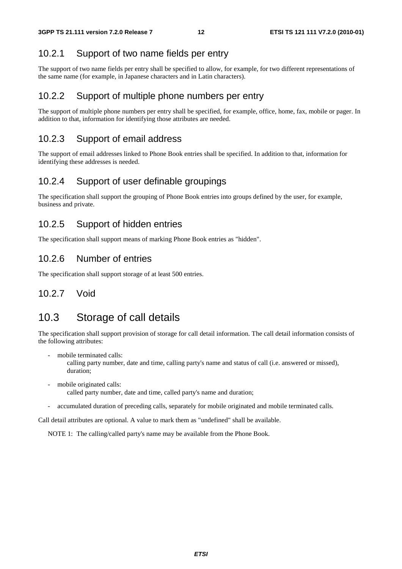#### 10.2.1 Support of two name fields per entry

The support of two name fields per entry shall be specified to allow, for example, for two different representations of the same name (for example, in Japanese characters and in Latin characters).

#### 10.2.2 Support of multiple phone numbers per entry

The support of multiple phone numbers per entry shall be specified, for example, office, home, fax, mobile or pager. In addition to that, information for identifying those attributes are needed.

#### 10.2.3 Support of email address

The support of email addresses linked to Phone Book entries shall be specified. In addition to that, information for identifying these addresses is needed.

#### 10.2.4 Support of user definable groupings

The specification shall support the grouping of Phone Book entries into groups defined by the user, for example, business and private.

#### 10.2.5 Support of hidden entries

The specification shall support means of marking Phone Book entries as "hidden".

#### 10.2.6 Number of entries

The specification shall support storage of at least 500 entries.

#### 10.2.7 Void

#### 10.3 Storage of call details

The specification shall support provision of storage for call detail information. The call detail information consists of the following attributes:

mobile terminated calls:

 calling party number, date and time, calling party's name and status of call (i.e. answered or missed), duration;

- mobile originated calls: called party number, date and time, called party's name and duration;
- accumulated duration of preceding calls, separately for mobile originated and mobile terminated calls.

Call detail attributes are optional. A value to mark them as "undefined" shall be available.

NOTE 1: The calling/called party's name may be available from the Phone Book.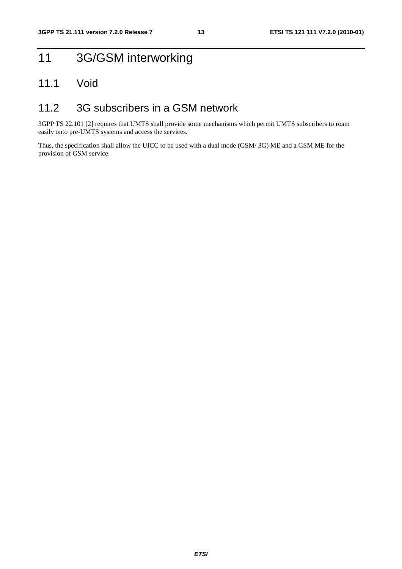## 11 3G/GSM interworking

#### 11.1 Void

#### 11.2 3G subscribers in a GSM network

3GPP TS 22.101 [2] requires that UMTS shall provide some mechanisms which permit UMTS subscribers to roam easily onto pre-UMTS systems and access the services.

Thus, the specification shall allow the UICC to be used with a dual mode (GSM/ 3G) ME and a GSM ME for the provision of GSM service.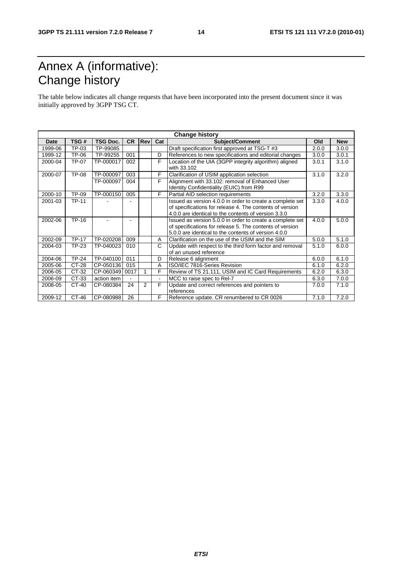## Annex A (informative): Change history

The table below indicates all change requests that have been incorporated into the present document since it was initially approved by 3GPP TSG CT.

| <b>Change history</b> |              |                 |           |                |     |                                                                                                                                                                               |       |            |
|-----------------------|--------------|-----------------|-----------|----------------|-----|-------------------------------------------------------------------------------------------------------------------------------------------------------------------------------|-------|------------|
| Date                  | TSG#         | <b>TSG Doc.</b> | <b>CR</b> | Rev            | Cat | Subject/Comment                                                                                                                                                               | Old   | <b>New</b> |
| 1999-06               | TP-03        | TP-99085        |           |                |     | Draft specification first approved at TSG-T #3                                                                                                                                | 2.0.0 | 3.0.0      |
| 1999-12               | TP-06        | TP-99255        | 001       |                | D   | References to new specifications and editorial changes                                                                                                                        | 3.0.0 | 3.0.1      |
| 2000-04               | TP-07        | TP-000017       | 002       |                | F   | Location of the UIA (3GPP integrity algorithm) aligned<br>with 33.102                                                                                                         | 3.0.1 | 3.1.0      |
| 2000-07               | <b>TP-08</b> | TP-000097       | 003       |                | F   | Clarification of USIM application selection                                                                                                                                   | 3.1.0 | 3.2.0      |
|                       |              | TP-000097       | 004       |                | F   | Alignment with 33.102: removal of Enhanced User<br>Identity Confidentiality (EUIC) from R99                                                                                   |       |            |
| 2000-10               | TP-09        | TP-000150       | 005       |                | F   | Partial AID selection requirements                                                                                                                                            | 3.2.0 | 3.3.0      |
| 2001-03               | <b>TP-11</b> |                 |           |                |     | Issued as version 4.0.0 in order to create a complete set<br>of specifications for release 4. The contents of version<br>4.0.0 are identical to the contents of version 3.3.0 | 3.3.0 | 4.0.0      |
| 2002-06               | TP-16        |                 |           |                |     | Issued as version 5.0.0 in order to create a complete set<br>of specifications for release 5. The contents of version<br>5.0.0 are identical to the contents of version 4.0.0 | 4.0.0 | 5.0.0      |
| 2002-09               | <b>TP-17</b> | TP-020208       | 009       |                | Α   | Clarification on the use of the USIM and the SIM                                                                                                                              | 5.0.0 | 5.1.0      |
| 2004-03               | TP-23        | TP-040023       | 010       |                | C   | Update with respect to the third form factor and removal<br>of an unused reference                                                                                            | 5.1.0 | 6.0.0      |
| 2004-06               | <b>TP-24</b> | TP-040100       | 011       |                | D   | Release 6 alignment                                                                                                                                                           | 6.0.0 | 6.1.0      |
| 2005-06               | CT-28        | CP-050136       | 015       |                | A   | ISO/IEC 7816-Series Revision                                                                                                                                                  | 6.1.0 | 6.2.0      |
| 2006-05               | CT-32        | CP-060349       | 0017      | 1              | F   | Review of TS 21.111, USIM and IC Card Requirements                                                                                                                            | 6.2.0 | 6.3.0      |
| 2006-09               | CT-33        | action item     |           |                |     | MCC to raise spec to Rel-7                                                                                                                                                    | 6.3.0 | 7.0.0      |
| 2008-05               | CT-40        | CP-080384       | 24        | $\overline{2}$ | F   | Update and correct references and pointers to<br>references                                                                                                                   | 7.0.0 | 7.1.0      |
| 2009-12               | CT-46        | CP-080988       | 26        |                | F   | Reference update. CR renumbered to CR 0026                                                                                                                                    | 7.1.0 | 7.2.0      |